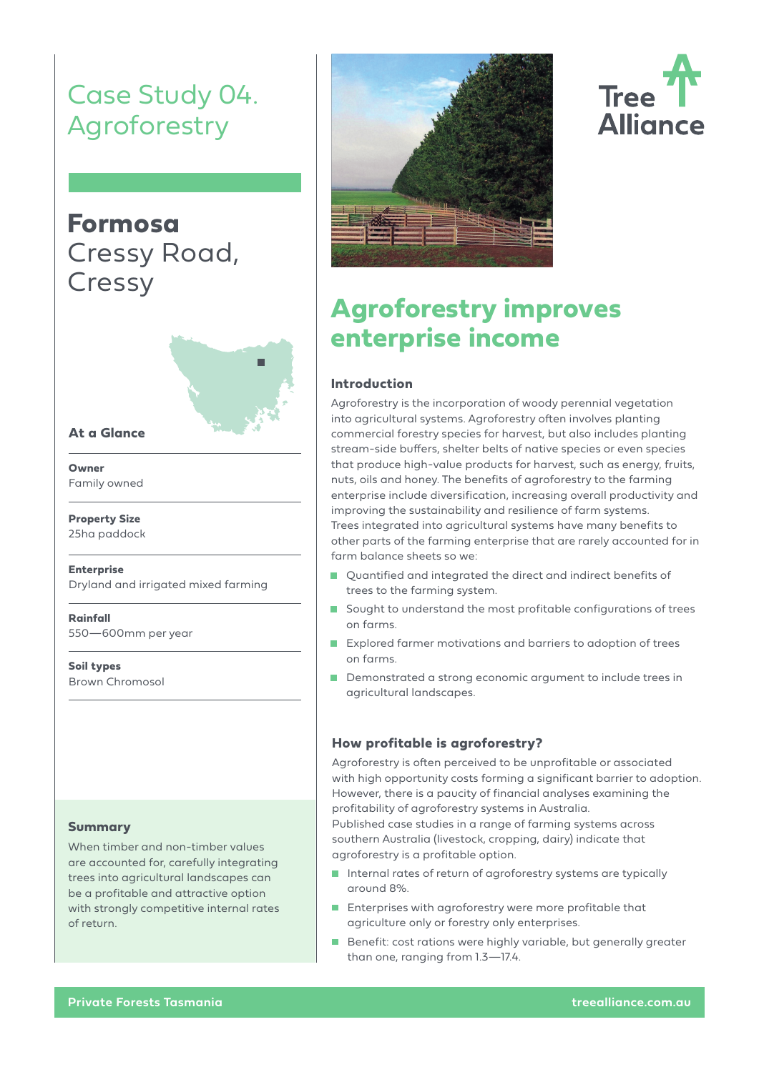# Case Study 04. Agroforestry

## **Formosa** Cressy Road, Cressy



#### **At a Glance**

**Owner** Family owned

**Property Size** 25ha paddock

**Enterprise** Dryland and irrigated mixed farming

**Rainfall** 550—600mm per year

**Soil types** Brown Chromosol

#### **Summary**

When timber and non-timber values are accounted for, carefully integrating trees into agricultural landscapes can be a profitable and attractive option with strongly competitive internal rates of return.



# **Tree Alliance**

## **Agroforestry improves enterprise income**

#### **Introduction**

Agroforestry is the incorporation of woody perennial vegetation into agricultural systems. Agroforestry often involves planting commercial forestry species for harvest, but also includes planting stream-side buffers, shelter belts of native species or even species that produce high-value products for harvest, such as energy, fruits, nuts, oils and honey. The benefits of agroforestry to the farming enterprise include diversification, increasing overall productivity and improving the sustainability and resilience of farm systems. Trees integrated into agricultural systems have many benefits to other parts of the farming enterprise that are rarely accounted for in farm balance sheets so we:

- Quantified and integrated the direct and indirect benefits of trees to the farming system.
- Sought to understand the most profitable configurations of trees on farms.
- Explored farmer motivations and barriers to adoption of trees on farms.
- Demonstrated a strong economic argument to include trees in agricultural landscapes.

#### **How profitable is agroforestry?**

Agroforestry is often perceived to be unprofitable or associated with high opportunity costs forming a significant barrier to adoption. However, there is a paucity of financial analyses examining the profitability of agroforestry systems in Australia. Published case studies in a range of farming systems across southern Australia (livestock, cropping, dairy) indicate that agroforestry is a profitable option.

- Internal rates of return of agroforestry systems are typically around 8%.
- **Enterprises with agroforestry were more profitable that** agriculture only or forestry only enterprises.
- Benefit: cost rations were highly variable, but generally greater than one, ranging from 1.3—17.4.